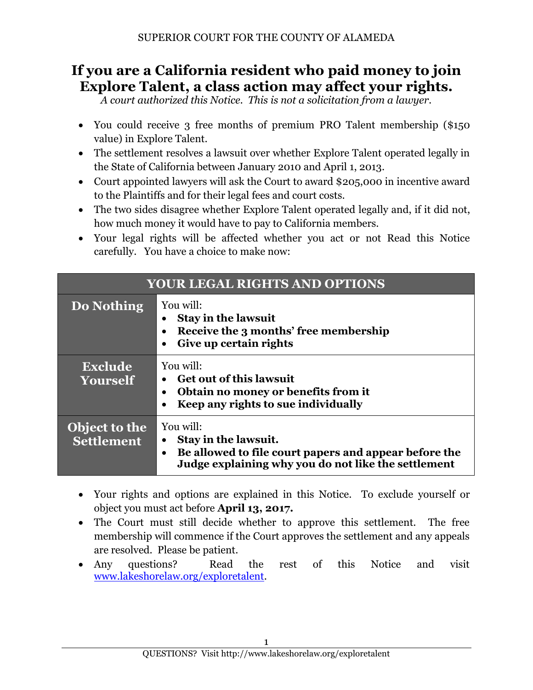# **If you are a California resident who paid money to join Explore Talent, a class action may affect your rights.**

*A court authorized this Notice. This is not a solicitation from a lawyer.*

- You could receive 3 free months of premium PRO Talent membership (\$150 value) in Explore Talent.
- The settlement resolves a lawsuit over whether Explore Talent operated legally in the State of California between January 2010 and April 1, 2013.
- Court appointed lawyers will ask the Court to award \$205,000 in incentive award to the Plaintiffs and for their legal fees and court costs.
- The two sides disagree whether Explore Talent operated legally and, if it did not, how much money it would have to pay to California members.
- Your legal rights will be affected whether you act or not Read this Notice carefully. You have a choice to make now:

| <b>YOUR LEGAL RIGHTS AND OPTIONS</b> |                                                                                                                                                                |
|--------------------------------------|----------------------------------------------------------------------------------------------------------------------------------------------------------------|
| Do Nothing                           | You will:<br><b>Stay in the lawsuit</b><br>Receive the 3 months' free membership<br>Give up certain rights                                                     |
| <b>Exclude</b><br>Yourself           | You will:<br><b>Get out of this lawsuit</b><br>Obtain no money or benefits from it<br>Keep any rights to sue individually                                      |
| Object to the<br><b>Settlement</b>   | You will:<br>Stay in the lawsuit.<br>Be allowed to file court papers and appear before the<br>$\bullet$<br>Judge explaining why you do not like the settlement |

- Your rights and options are explained in this Notice. To exclude yourself or object you must act before **April 13, 2017.**
- The Court must still decide whether to approve this settlement. The free membership will commence if the Court approves the settlement and any appeals are resolved. Please be patient.
- Any questions? Read the rest of this Notice and visit [www.lakeshorelaw.org/exploretalent.](http://www.lakeshorelaw.org/exploretalent)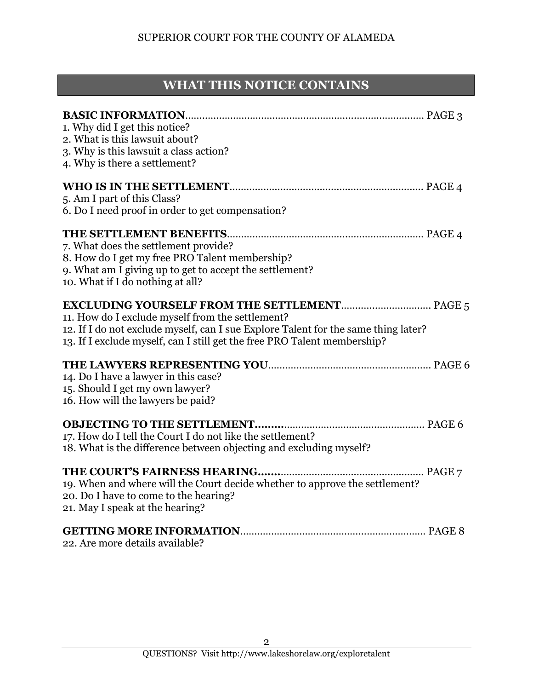## **WHAT THIS NOTICE CONTAINS**

| 2. What is this lawsuit about?<br>12. If I do not exclude myself, can I sue Explore Talent for the same thing later?<br>13. If I exclude myself, can I still get the free PRO Talent membership?<br>16. How will the lawyers be paid?<br>PAGE 7<br>19. When and where will the Court decide whether to approve the settlement? |                                                                    |
|--------------------------------------------------------------------------------------------------------------------------------------------------------------------------------------------------------------------------------------------------------------------------------------------------------------------------------|--------------------------------------------------------------------|
|                                                                                                                                                                                                                                                                                                                                | 1. Why did I get this notice?                                      |
|                                                                                                                                                                                                                                                                                                                                |                                                                    |
|                                                                                                                                                                                                                                                                                                                                | 3. Why is this lawsuit a class action?                             |
|                                                                                                                                                                                                                                                                                                                                | 4. Why is there a settlement?                                      |
|                                                                                                                                                                                                                                                                                                                                |                                                                    |
|                                                                                                                                                                                                                                                                                                                                | 5. Am I part of this Class?                                        |
|                                                                                                                                                                                                                                                                                                                                | 6. Do I need proof in order to get compensation?                   |
|                                                                                                                                                                                                                                                                                                                                |                                                                    |
|                                                                                                                                                                                                                                                                                                                                | 7. What does the settlement provide?                               |
|                                                                                                                                                                                                                                                                                                                                | 8. How do I get my free PRO Talent membership?                     |
|                                                                                                                                                                                                                                                                                                                                | 9. What am I giving up to get to accept the settlement?            |
|                                                                                                                                                                                                                                                                                                                                | 10. What if I do nothing at all?                                   |
|                                                                                                                                                                                                                                                                                                                                |                                                                    |
|                                                                                                                                                                                                                                                                                                                                | 11. How do I exclude myself from the settlement?                   |
|                                                                                                                                                                                                                                                                                                                                |                                                                    |
|                                                                                                                                                                                                                                                                                                                                |                                                                    |
|                                                                                                                                                                                                                                                                                                                                |                                                                    |
|                                                                                                                                                                                                                                                                                                                                | 14. Do I have a lawyer in this case?                               |
|                                                                                                                                                                                                                                                                                                                                | 15. Should I get my own lawyer?                                    |
|                                                                                                                                                                                                                                                                                                                                |                                                                    |
|                                                                                                                                                                                                                                                                                                                                | <b>OBJECTING TO THE SETTLEMENT</b>                                 |
|                                                                                                                                                                                                                                                                                                                                | 17. How do I tell the Court I do not like the settlement?          |
|                                                                                                                                                                                                                                                                                                                                | 18. What is the difference between objecting and excluding myself? |
|                                                                                                                                                                                                                                                                                                                                | THE COURT'S FAIRNESS HEARING                                       |
|                                                                                                                                                                                                                                                                                                                                |                                                                    |
|                                                                                                                                                                                                                                                                                                                                | 20. Do I have to come to the hearing?                              |
|                                                                                                                                                                                                                                                                                                                                | 21. May I speak at the hearing?                                    |
|                                                                                                                                                                                                                                                                                                                                |                                                                    |

22. Are more details available?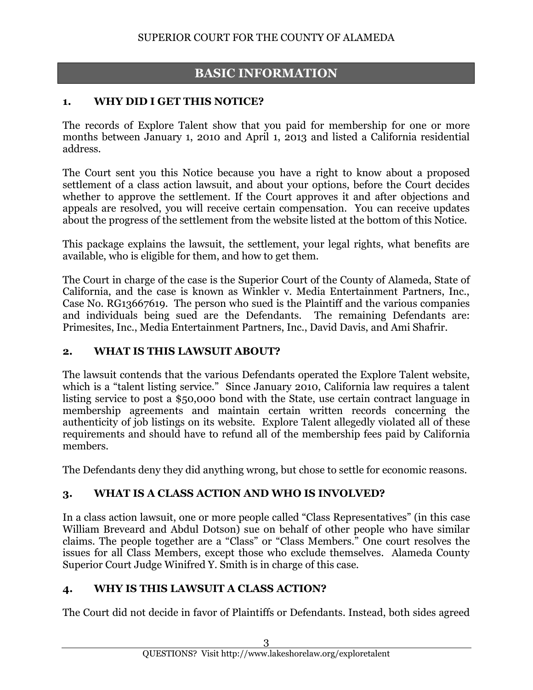## **BASIC INFORMATION**

#### **1. WHY DID I GET THIS NOTICE?**

The records of Explore Talent show that you paid for membership for one or more months between January 1, 2010 and April 1, 2013 and listed a California residential address.

The Court sent you this Notice because you have a right to know about a proposed settlement of a class action lawsuit, and about your options, before the Court decides whether to approve the settlement. If the Court approves it and after objections and appeals are resolved, you will receive certain compensation. You can receive updates about the progress of the settlement from the website listed at the bottom of this Notice.

This package explains the lawsuit, the settlement, your legal rights, what benefits are available, who is eligible for them, and how to get them.

The Court in charge of the case is the Superior Court of the County of Alameda, State of California, and the case is known as Winkler v. Media Entertainment Partners, Inc., Case No. RG13667619. The person who sued is the Plaintiff and the various companies and individuals being sued are the Defendants. The remaining Defendants are: Primesites, Inc., Media Entertainment Partners, Inc., David Davis, and Ami Shafrir.

#### **2. WHAT IS THIS LAWSUIT ABOUT?**

The lawsuit contends that the various Defendants operated the Explore Talent website, which is a "talent listing service." Since January 2010, California law requires a talent listing service to post a \$50,000 bond with the State, use certain contract language in membership agreements and maintain certain written records concerning the authenticity of job listings on its website. Explore Talent allegedly violated all of these requirements and should have to refund all of the membership fees paid by California members.

The Defendants deny they did anything wrong, but chose to settle for economic reasons.

#### **3. WHAT IS A CLASS ACTION AND WHO IS INVOLVED?**

In a class action lawsuit, one or more people called "Class Representatives" (in this case William Breveard and Abdul Dotson) sue on behalf of other people who have similar claims. The people together are a "Class" or "Class Members." One court resolves the issues for all Class Members, except those who exclude themselves. Alameda County Superior Court Judge Winifred Y. Smith is in charge of this case.

#### **4. WHY IS THIS LAWSUIT A CLASS ACTION?**

The Court did not decide in favor of Plaintiffs or Defendants. Instead, both sides agreed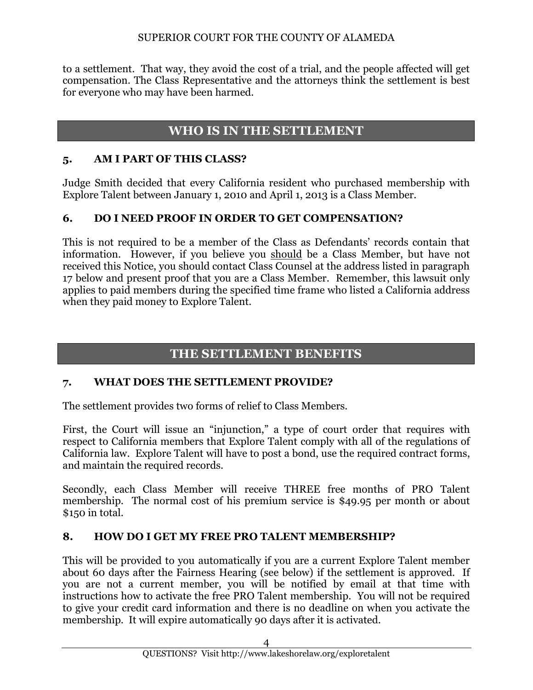to a settlement. That way, they avoid the cost of a trial, and the people affected will get compensation. The Class Representative and the attorneys think the settlement is best for everyone who may have been harmed.

## **WHO IS IN THE SETTLEMENT**

#### **5. AM I PART OF THIS CLASS?**

Judge Smith decided that every California resident who purchased membership with Explore Talent between January 1, 2010 and April 1, 2013 is a Class Member.

### **6. DO I NEED PROOF IN ORDER TO GET COMPENSATION?**

This is not required to be a member of the Class as Defendants' records contain that information. However, if you believe you should be a Class Member, but have not received this Notice, you should contact Class Counsel at the address listed in paragraph 17 below and present proof that you are a Class Member. Remember, this lawsuit only applies to paid members during the specified time frame who listed a California address when they paid money to Explore Talent.

## **THE SETTLEMENT BENEFITS**

#### **7. WHAT DOES THE SETTLEMENT PROVIDE?**

The settlement provides two forms of relief to Class Members.

First, the Court will issue an "injunction," a type of court order that requires with respect to California members that Explore Talent comply with all of the regulations of California law. Explore Talent will have to post a bond, use the required contract forms, and maintain the required records.

Secondly, each Class Member will receive THREE free months of PRO Talent membership. The normal cost of his premium service is \$49.95 per month or about \$150 in total.

#### **8. HOW DO I GET MY FREE PRO TALENT MEMBERSHIP?**

This will be provided to you automatically if you are a current Explore Talent member about 60 days after the Fairness Hearing (see below) if the settlement is approved. If you are not a current member, you will be notified by email at that time with instructions how to activate the free PRO Talent membership. You will not be required to give your credit card information and there is no deadline on when you activate the membership. It will expire automatically 90 days after it is activated.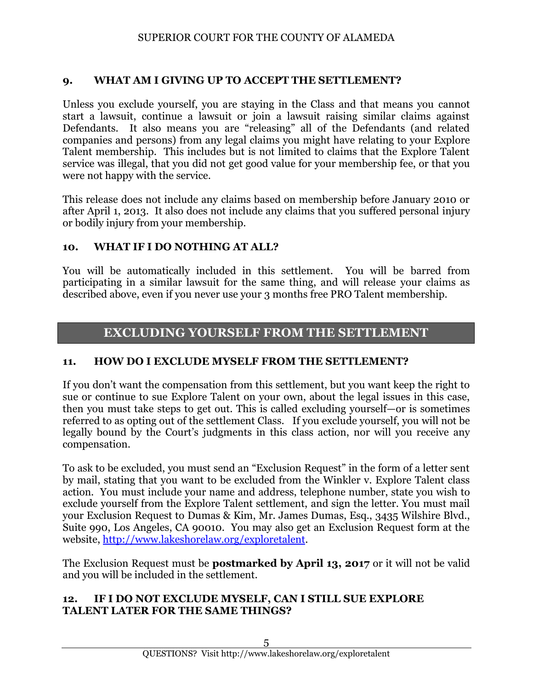#### **9. WHAT AM I GIVING UP TO ACCEPT THE SETTLEMENT?**

Unless you exclude yourself, you are staying in the Class and that means you cannot start a lawsuit, continue a lawsuit or join a lawsuit raising similar claims against Defendants. It also means you are "releasing" all of the Defendants (and related companies and persons) from any legal claims you might have relating to your Explore Talent membership. This includes but is not limited to claims that the Explore Talent service was illegal, that you did not get good value for your membership fee, or that you were not happy with the service.

This release does not include any claims based on membership before January 2010 or after April 1, 2013. It also does not include any claims that you suffered personal injury or bodily injury from your membership.

#### **10. WHAT IF I DO NOTHING AT ALL?**

You will be automatically included in this settlement. You will be barred from participating in a similar lawsuit for the same thing, and will release your claims as described above, even if you never use your 3 months free PRO Talent membership.

### **EXCLUDING YOURSELF FROM THE SETTLEMENT**

#### **11. HOW DO I EXCLUDE MYSELF FROM THE SETTLEMENT?**

If you don't want the compensation from this settlement, but you want keep the right to sue or continue to sue Explore Talent on your own, about the legal issues in this case, then you must take steps to get out. This is called excluding yourself—or is sometimes referred to as opting out of the settlement Class. If you exclude yourself, you will not be legally bound by the Court's judgments in this class action, nor will you receive any compensation.

To ask to be excluded, you must send an "Exclusion Request" in the form of a letter sent by mail, stating that you want to be excluded from the Winkler v. Explore Talent class action. You must include your name and address, telephone number, state you wish to exclude yourself from the Explore Talent settlement, and sign the letter. You must mail your Exclusion Request to Dumas & Kim, Mr. James Dumas, Esq., 3435 Wilshire Blvd., Suite 990, Los Angeles, CA 90010. You may also get an Exclusion Request form at the website, [http://www.lakeshorelaw.org/exploretalent.](http://www.lakeshorelaw.org/exploretalent)

The Exclusion Request must be **postmarked by April 13, 2017** or it will not be valid and you will be included in the settlement.

#### **12. IF I DO NOT EXCLUDE MYSELF, CAN I STILL SUE EXPLORE TALENT LATER FOR THE SAME THINGS?**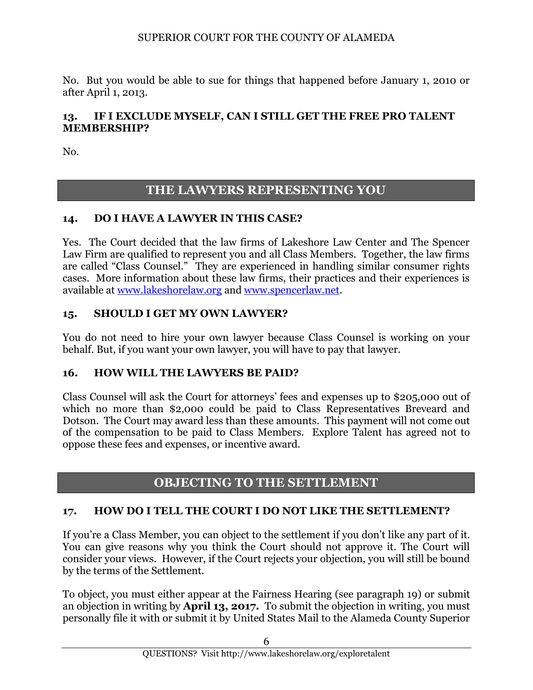No. But you would be able to sue for things that happened before January 1, 2010 or after April 1, 2013.

#### **13. IF I EXCLUDE MYSELF, CAN I STILL GET THE FREE PRO TALENT MEMBERSHIP?**

No.

## **THE LAWYERS REPRESENTING YOU**

#### **14. DO I HAVE A LAWYER IN THIS CASE?**

Yes. The Court decided that the law firms of Lakeshore Law Center and The Spencer Law Firm are qualified to represent you and all Class Members. Together, the law firms are called "Class Counsel." They are experienced in handling similar consumer rights cases. More information about these law firms, their practices and their experiences is available at [www.lakeshorelaw.org](http://www.lakeshorelaw.org/) and [www.spencerlaw.net.](http://www.spencerlaw.net/)

#### **15. SHOULD I GET MY OWN LAWYER?**

You do not need to hire your own lawyer because Class Counsel is working on your behalf. But, if you want your own lawyer, you will have to pay that lawyer.

#### **16. HOW WILL THE LAWYERS BE PAID?**

Class Counsel will ask the Court for attorneys' fees and expenses up to \$205,000 out of which no more than \$2,000 could be paid to Class Representatives Breveard and Dotson. The Court may award less than these amounts. This payment will not come out of the compensation to be paid to Class Members. Explore Talent has agreed not to oppose these fees and expenses, or incentive award.

### **OBJECTING TO THE SETTLEMENT**

#### **17. HOW DO I TELL THE COURT I DO NOT LIKE THE SETTLEMENT?**

If you're a Class Member, you can object to the settlement if you don't like any part of it. You can give reasons why you think the Court should not approve it. The Court will consider your views. However, if the Court rejects your objection, you will still be bound by the terms of the Settlement.

To object, you must either appear at the Fairness Hearing (see paragraph 19) or submit an objection in writing by **April 13, 2017.** To submit the objection in writing, you must personally file it with or submit it by United States Mail to the Alameda County Superior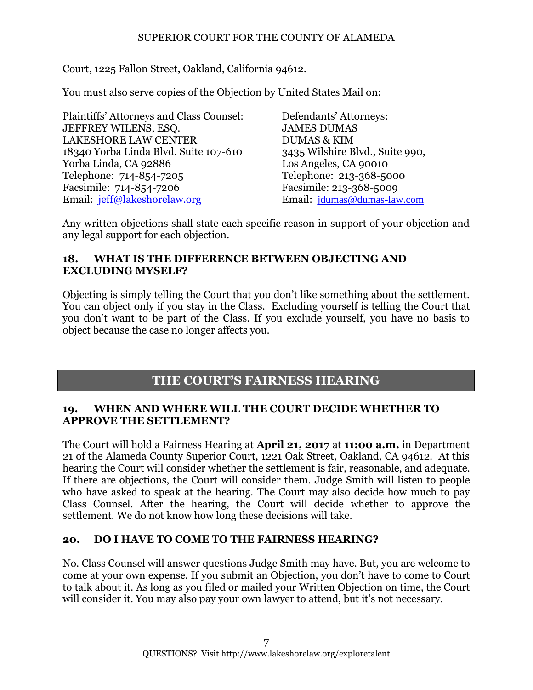Court, 1225 Fallon Street, Oakland, California 94612.

You must also serve copies of the Objection by United States Mail on:

Plaintiffs' Attorneys and Class Counsel: Defendants' Attorneys: JEFFREY WILENS, ESQ. JAMES DUMAS LAKESHORE LAW CENTER DUMAS & KIM 18340 Yorba Linda Blvd. Suite 107-610 3435 Wilshire Blvd., Suite 990, Yorba Linda, CA 92886 Los Angeles, CA 90010 Telephone: 714-854-7205 Telephone: 213-368-5000 Facsimile: 714-854-7206 Facsimile: 213-368-5009 Email: [jeff@lakeshorelaw.org](mailto:jeff@lakeshorelaw.org) Email: [jdumas@dumas-law.com](mailto:jdumas@dumas-law.com)

Any written objections shall state each specific reason in support of your objection and any legal support for each objection.

#### **18. WHAT IS THE DIFFERENCE BETWEEN OBJECTING AND EXCLUDING MYSELF?**

Objecting is simply telling the Court that you don't like something about the settlement. You can object only if you stay in the Class. Excluding yourself is telling the Court that you don't want to be part of the Class. If you exclude yourself, you have no basis to object because the case no longer affects you.

### **THE COURT'S FAIRNESS HEARING**

#### **19. WHEN AND WHERE WILL THE COURT DECIDE WHETHER TO APPROVE THE SETTLEMENT?**

The Court will hold a Fairness Hearing at **April 21, 2017** at **11:00 a.m.** in Department 21 of the Alameda County Superior Court, 1221 Oak Street, Oakland, CA 94612. At this hearing the Court will consider whether the settlement is fair, reasonable, and adequate. If there are objections, the Court will consider them. Judge Smith will listen to people who have asked to speak at the hearing. The Court may also decide how much to pay Class Counsel. After the hearing, the Court will decide whether to approve the settlement. We do not know how long these decisions will take.

#### **20. DO I HAVE TO COME TO THE FAIRNESS HEARING?**

No. Class Counsel will answer questions Judge Smith may have. But, you are welcome to come at your own expense. If you submit an Objection, you don't have to come to Court to talk about it. As long as you filed or mailed your Written Objection on time, the Court will consider it. You may also pay your own lawyer to attend, but it's not necessary.